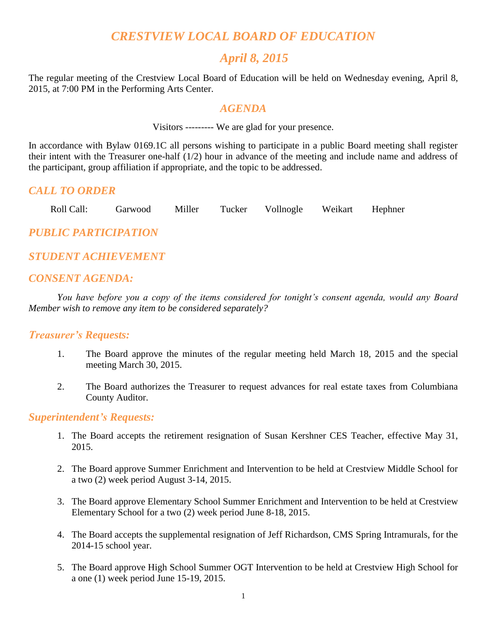# *CRESTVIEW LOCAL BOARD OF EDUCATION*

# *April 8, 2015*

The regular meeting of the Crestview Local Board of Education will be held on Wednesday evening, April 8, 2015, at 7:00 PM in the Performing Arts Center.

### *AGENDA*

Visitors --------- We are glad for your presence.

In accordance with Bylaw 0169.1C all persons wishing to participate in a public Board meeting shall register their intent with the Treasurer one-half (1/2) hour in advance of the meeting and include name and address of the participant, group affiliation if appropriate, and the topic to be addressed.

## *CALL TO ORDER*

Roll Call: Garwood Miller Tucker Vollnogle Weikart Hephner

*PUBLIC PARTICIPATION*

# *STUDENT ACHIEVEMENT*

## *CONSENT AGENDA:*

*You have before you a copy of the items considered for tonight's consent agenda, would any Board Member wish to remove any item to be considered separately?*

#### *Treasurer's Requests:*

- 1. The Board approve the minutes of the regular meeting held March 18, 2015 and the special meeting March 30, 2015.
- 2. The Board authorizes the Treasurer to request advances for real estate taxes from Columbiana County Auditor.

## *Superintendent's Requests:*

- 1. The Board accepts the retirement resignation of Susan Kershner CES Teacher, effective May 31, 2015.
- 2. The Board approve Summer Enrichment and Intervention to be held at Crestview Middle School for a two (2) week period August 3-14, 2015.
- 3. The Board approve Elementary School Summer Enrichment and Intervention to be held at Crestview Elementary School for a two (2) week period June 8-18, 2015.
- 4. The Board accepts the supplemental resignation of Jeff Richardson, CMS Spring Intramurals, for the 2014-15 school year.
- 5. The Board approve High School Summer OGT Intervention to be held at Crestview High School for a one (1) week period June 15-19, 2015.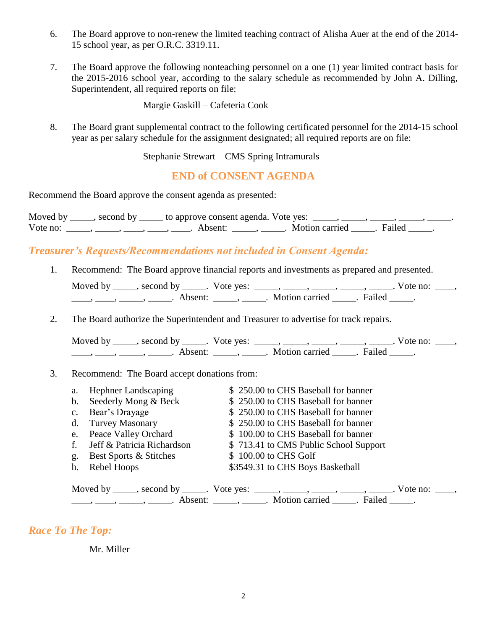- 6. The Board approve to non-renew the limited teaching contract of Alisha Auer at the end of the 2014- 15 school year, as per O.R.C. 3319.11.
- 7. The Board approve the following nonteaching personnel on a one (1) year limited contract basis for the 2015-2016 school year, according to the salary schedule as recommended by John A. Dilling, Superintendent, all required reports on file:

Margie Gaskill – Cafeteria Cook

8. The Board grant supplemental contract to the following certificated personnel for the 2014-15 school year as per salary schedule for the assignment designated; all required reports are on file:

Stephanie Strewart – CMS Spring Intramurals

**END of CONSENT AGENDA**

Recommend the Board approve the consent agenda as presented:

Moved by \_\_\_\_, second by \_\_\_\_\_ to approve consent agenda. Vote yes:  $\_\_\_\_\_\_\_\_\_\_\_\_$ Vote no: \_\_\_\_\_, \_\_\_\_, \_\_\_\_, \_\_\_\_, Absent: \_\_\_\_, \_\_\_\_. Motion carried \_\_\_\_. Failed \_\_\_\_.

# *Treasurer's Requests/Recommendations not included in Consent Agenda:*

1. Recommend: The Board approve financial reports and investments as prepared and presented.

| Moved by | second by           | Vote yes: |                |        | Vote no: |
|----------|---------------------|-----------|----------------|--------|----------|
|          | Absent <sup>.</sup> |           | Motion carried | Failed |          |

2. The Board authorize the Superintendent and Treasurer to advertise for track repairs.

Moved by \_\_\_\_\_, second by \_\_\_\_\_. Vote yes:  $\_\_\_\_\_\_\_\_\_\_\_\_\_\_\_$  \_\_\_\_\_, \_\_\_\_\_, \_\_\_\_\_. Vote no:  $\_\_\_\_\_\$ \_\_\_\_\_, \_\_\_\_\_\_, \_\_\_\_\_\_\_. Absent: \_\_\_\_\_\_, \_\_\_\_\_\_. Motion carried \_\_\_\_\_\_. Failed \_\_\_\_\_.

#### 3. Recommend: The Board accept donations from:

| a. | <b>Hephner Landscaping</b>                                                                                                                                                                                                                                                                                                                                                                                                  | \$250.00 to CHS Baseball for banner   |  |  |  |  |
|----|-----------------------------------------------------------------------------------------------------------------------------------------------------------------------------------------------------------------------------------------------------------------------------------------------------------------------------------------------------------------------------------------------------------------------------|---------------------------------------|--|--|--|--|
|    | b. Seederly Mong & Beck                                                                                                                                                                                                                                                                                                                                                                                                     | \$250.00 to CHS Baseball for banner   |  |  |  |  |
|    | c. Bear's Drayage                                                                                                                                                                                                                                                                                                                                                                                                           | \$250.00 to CHS Baseball for banner   |  |  |  |  |
|    | d. Turvey Masonary                                                                                                                                                                                                                                                                                                                                                                                                          | \$250.00 to CHS Baseball for banner   |  |  |  |  |
|    | e. Peace Valley Orchard                                                                                                                                                                                                                                                                                                                                                                                                     | \$100.00 to CHS Baseball for banner   |  |  |  |  |
| f. | Jeff & Patricia Richardson                                                                                                                                                                                                                                                                                                                                                                                                  | \$713.41 to CMS Public School Support |  |  |  |  |
| g. | <b>Best Sports &amp; Stitches</b>                                                                                                                                                                                                                                                                                                                                                                                           | \$100.00 to CHS Golf                  |  |  |  |  |
| h. | Rebel Hoops                                                                                                                                                                                                                                                                                                                                                                                                                 | \$3549.31 to CHS Boys Basketball      |  |  |  |  |
|    |                                                                                                                                                                                                                                                                                                                                                                                                                             |                                       |  |  |  |  |
|    | Moved by _____, second by _____. Vote yes: _____, _____, _____, _____, _____. Vote no: _____                                                                                                                                                                                                                                                                                                                                |                                       |  |  |  |  |
|    | $\frac{1}{1}, \frac{1}{1}, \frac{1}{1}, \frac{1}{1}, \frac{1}{1}, \frac{1}{1}, \frac{1}{1}, \frac{1}{1}, \frac{1}{1}, \frac{1}{1}, \frac{1}{1}, \frac{1}{1}, \frac{1}{1}, \frac{1}{1}, \frac{1}{1}, \frac{1}{1}, \frac{1}{1}, \frac{1}{1}, \frac{1}{1}, \frac{1}{1}, \frac{1}{1}, \frac{1}{1}, \frac{1}{1}, \frac{1}{1}, \frac{1}{1}, \frac{1}{1}, \frac{1}{1}, \frac{1}{1}, \frac{1}{1}, \frac{1}{1}, \frac{1}{1}, \frac{$ |                                       |  |  |  |  |

## *Race To The Top:*

Mr. Miller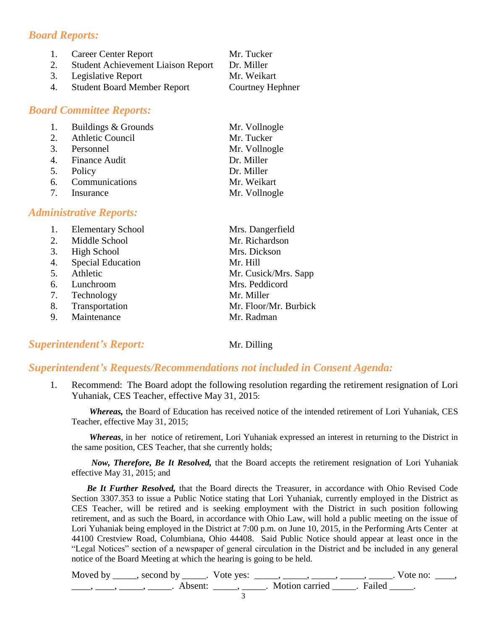# *Board Reports:*

| 1. | <b>Career Center Report</b>               | Mr. Tucker       |
|----|-------------------------------------------|------------------|
| 2. | <b>Student Achievement Liaison Report</b> | Dr. Miller       |
|    | 3. Legislative Report                     | Mr. Weikart      |
| 4. | <b>Student Board Member Report</b>        | Courtney Hephner |

## *Board Committee Reports:*

| 1. Buildings & Grounds | Mr. Vollnogle |
|------------------------|---------------|
| 2. Athletic Council    | Mr. Tucker    |
| 3. Personnel           | Mr. Vollnogle |
| 4. Finance Audit       | Dr. Miller    |
| 5. Policy              | Dr. Miller    |
| 6. Communications      | Mr. Weikart   |
| 7. Insurance           | Mr. Vollnogle |

## *Administrative Reports:*

|    | <b>Elementary School</b> | Mrs. Dangerfield      |
|----|--------------------------|-----------------------|
| 2. | Middle School            | Mr. Richardson        |
| 3. | <b>High School</b>       | Mrs. Dickson          |
| 4. | <b>Special Education</b> | Mr. Hill              |
| 5. | Athletic                 | Mr. Cusick/Mrs. Sapp  |
| 6. | Lunchroom                | Mrs. Peddicord        |
| 7. | Technology               | Mr. Miller            |
| 8. | Transportation           | Mr. Floor/Mr. Burbick |
| 9. | Maintenance              | Mr. Radman            |

# **Superintendent's Report:** Mr. Dilling

# *Superintendent's Requests/Recommendations not included in Consent Agenda:*

1. Recommend: The Board adopt the following resolution regarding the retirement resignation of Lori Yuhaniak, CES Teacher, effective May 31, 2015:

*Whereas,* the Board of Education has received notice of the intended retirement of Lori Yuhaniak, CES Teacher, effective May 31, 2015;

*Whereas*, in her notice of retirement, Lori Yuhaniak expressed an interest in returning to the District in the same position, CES Teacher, that she currently holds;

*Now, Therefore, Be It Resolved,* that the Board accepts the retirement resignation of Lori Yuhaniak effective May 31, 2015; and

 *Be It Further Resolved,* that the Board directs the Treasurer, in accordance with Ohio Revised Code Section 3307.353 to issue a Public Notice stating that Lori Yuhaniak, currently employed in the District as CES Teacher, will be retired and is seeking employment with the District in such position following retirement, and as such the Board, in accordance with Ohio Law, will hold a public meeting on the issue of Lori Yuhaniak being employed in the District at 7:00 p.m. on June 10, 2015, in the Performing Arts Center at 44100 Crestview Road, Columbiana, Ohio 44408. Said Public Notice should appear at least once in the "Legal Notices" section of a newspaper of general circulation in the District and be included in any general notice of the Board Meeting at which the hearing is going to be held.

| Moved by ______, second by ______. Vote yes: |                           | Vote no: |  |
|----------------------------------------------|---------------------------|----------|--|
| Absent:                                      | . Motion carried . Failed |          |  |
|                                              |                           |          |  |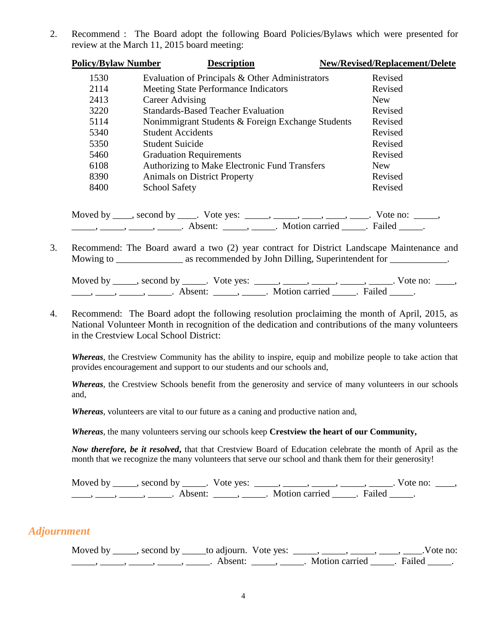2. Recommend : The Board adopt the following Board Policies/Bylaws which were presented for review at the March 11, 2015 board meeting:

| <b>Policy/Bylaw Number</b> | <b>Description</b>                                | <b>New/Revised/Replacement/Delete</b> |
|----------------------------|---------------------------------------------------|---------------------------------------|
| 1530                       | Evaluation of Principals & Other Administrators   | Revised                               |
| 2114                       | <b>Meeting State Performance Indicators</b>       | Revised                               |
| 2413                       | Career Advising                                   | <b>New</b>                            |
| 3220                       | <b>Standards-Based Teacher Evaluation</b>         | Revised                               |
| 5114                       | Nonimmigrant Students & Foreign Exchange Students | Revised                               |
| 5340                       | <b>Student Accidents</b>                          | Revised                               |
| 5350                       | <b>Student Suicide</b>                            | Revised                               |
| 5460                       | <b>Graduation Requirements</b>                    | Revised                               |
| 6108                       | Authorizing to Make Electronic Fund Transfers     | New                                   |
| 8390                       | <b>Animals on District Property</b>               | Revised                               |
| 8400                       | <b>School Safety</b>                              | Revised                               |
|                            |                                                   |                                       |

Moved by \_\_\_\_, second by \_\_\_\_. Vote yes: \_\_\_\_\_, \_\_\_\_, \_\_\_\_, \_\_\_\_, \_\_\_\_. Vote no: \_\_\_\_\_,  $\frac{1}{\sqrt{2}}$   $\frac{1}{\sqrt{2}}$   $\frac{1}{\sqrt{2}}$   $\frac{1}{\sqrt{2}}$   $\frac{1}{\sqrt{2}}$   $\frac{1}{\sqrt{2}}$   $\frac{1}{\sqrt{2}}$   $\frac{1}{\sqrt{2}}$   $\frac{1}{\sqrt{2}}$   $\frac{1}{\sqrt{2}}$   $\frac{1}{\sqrt{2}}$   $\frac{1}{\sqrt{2}}$   $\frac{1}{\sqrt{2}}$   $\frac{1}{\sqrt{2}}$   $\frac{1}{\sqrt{2}}$   $\frac{1}{\sqrt{2}}$   $\frac{1}{\sqrt{2}}$ 

3. Recommend: The Board award a two (2) year contract for District Landscape Maintenance and Mowing to \_\_\_\_\_\_\_\_\_\_\_\_\_\_\_ as recommended by John Dilling, Superintendent for \_\_\_\_\_\_\_\_\_\_\_.

| Moved by | second by           | Vote ves: |                |        | Vote no: |  |
|----------|---------------------|-----------|----------------|--------|----------|--|
|          | Absent <sup>.</sup> |           | Motion carried | Failed |          |  |

4. Recommend: The Board adopt the following resolution proclaiming the month of April, 2015, as National Volunteer Month in recognition of the dedication and contributions of the many volunteers in the Crestview Local School District:

*Whereas*, the Crestview Community has the ability to inspire, equip and mobilize people to take action that provides encouragement and support to our students and our schools and,

*Whereas*, the Crestview Schools benefit from the generosity and service of many volunteers in our schools and,

*Whereas*, volunteers are vital to our future as a caning and productive nation and,

*Whereas*, the many volunteers serving our schools keep **Crestview the heart of our Community,**

*Now therefore, be it resolved***,** that that Crestview Board of Education celebrate the month of April as the month that we recognize the many volunteers that serve our school and thank them for their generosity!

Moved by \_\_\_\_\_, second by \_\_\_\_\_. Vote yes:  $\frac{1}{\sqrt{2}}$ , \_\_\_\_, \_\_\_\_, \_\_\_\_, \_\_\_\_, \_\_\_\_. Vote no: \_\_\_\_, \_\_\_\_\_, \_\_\_\_\_, \_\_\_\_\_\_\_. Absent: \_\_\_\_\_\_, \_\_\_\_\_\_. Motion carried \_\_\_\_\_. Failed \_\_\_\_\_.

#### *Adjournment*

Moved by \_\_\_\_\_, second by \_\_\_\_\_to adjourn. Vote yes: \_\_\_\_\_, \_\_\_\_\_, \_\_\_\_\_, \_\_\_\_, \_\_\_\_.Vote no: \_\_\_\_\_, \_\_\_\_\_, \_\_\_\_\_, \_\_\_\_\_, \_\_\_\_\_. Absent: \_\_\_\_\_, \_\_\_\_\_. Motion carried \_\_\_\_\_. Failed \_\_\_\_\_.